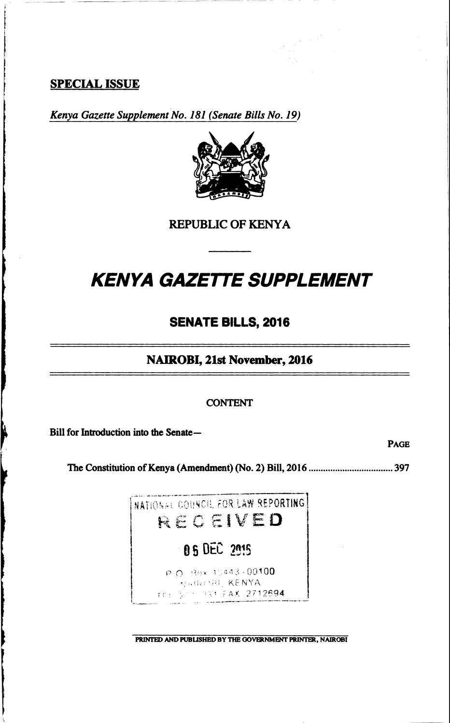# **SPECIAL ISSUE**

Kenya Gazette Supplement No. 181 (Senate Bills No. 19)



**REPUBLIC OF KENYA** 

# **KENYA GAZETTE SUPPLEMENT**

## **SENATE BILLS, 2016**

NAIROBI, 21st November, 2016

#### **CONTENT**

Bill for Introduction into the Senate-

li<br>F

ľ

**PAGE** 

NATIONAL COUNCIL FOR LAW REPORTING RECEIVED **05 DEC 2015** P.O. 30x 10443-00100 **MARKORD, KENYA** TC: 211 931 FAX 2712694

PRINTED AND PUBLISHED BY THE GOVERNMENT PRINTER, NAIROBI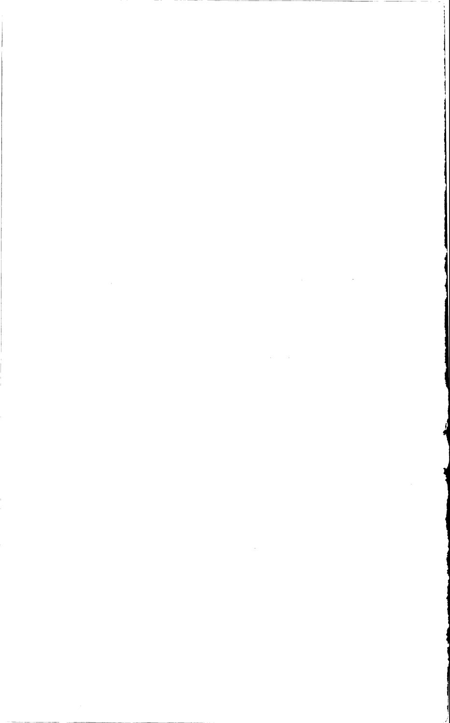$\label{eq:2.1} \frac{1}{\sqrt{2}}\left(\frac{1}{\sqrt{2}}\right)^{2} \left(\frac{1}{\sqrt{2}}\right)^{2} \left(\frac{1}{\sqrt{2}}\right)^{2} \left(\frac{1}{\sqrt{2}}\right)^{2} \left(\frac{1}{\sqrt{2}}\right)^{2} \left(\frac{1}{\sqrt{2}}\right)^{2} \left(\frac{1}{\sqrt{2}}\right)^{2} \left(\frac{1}{\sqrt{2}}\right)^{2} \left(\frac{1}{\sqrt{2}}\right)^{2} \left(\frac{1}{\sqrt{2}}\right)^{2} \left(\frac{1}{\sqrt{2}}\right)^{2} \left(\$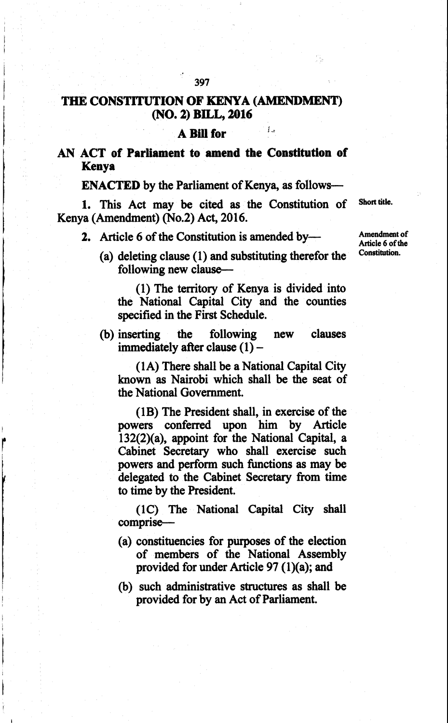## THE CONSTITUTION OF KENYA (AMENDMENT) (NO. 2) BILL,2016

## A Bill for

## AN ACT of Parliament to amend the Constitution of Kenya

**ENACTED** by the Parliament of Kenya, as follows-

1. This Act may be cited as the Constitution of Short title. Kenya (Amendment) (No.2) Act, 2016.

2. Article 6 of the Constitution is amended by-

Amendment of Article 6 of the Constitution.

(a) deleting clause (l) and substituting therefor the following new clause--

(l) The territory of Kenya is divided into the National Capital City and the counties specified in the First Schedule.

(b) inserting the following new clauses immediately after clause  $(1)$  -

(1A) There shall be a National Capital City<br>known as Nairobi which shall be the seat of the National Government.

(18) The President shall, in exercise of the powers conferred upon him by Article  $132(2)(a)$ , appoint for the National Capital, a Cabinet Secretary who shall exercise such powers and perform such functions as may be delegated to the Cabinet Secretary from time to time by the President.

(lC) The National Capital City shall comprise-

- (a) constituencies for purposes of the election of mernbers of the National Assembly provided for under Article 97  $(1)(a)$ ; and
- (b) such adminisfrative structures as shall be provided for by an Act of Parliament.

t

t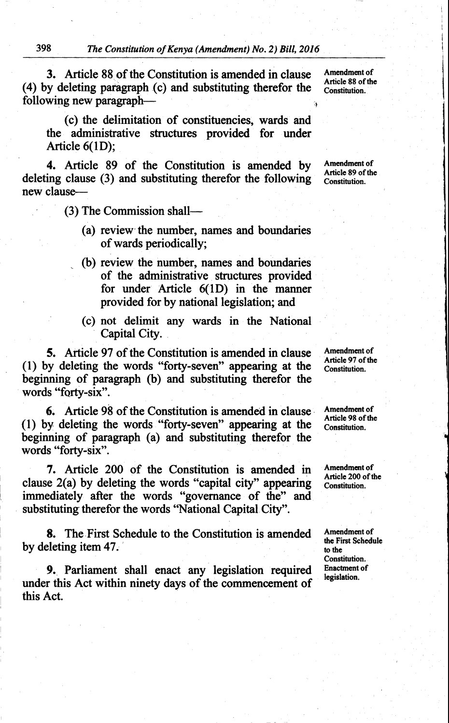398 The Consfirufion of Kenya (Amendment) No,2) Bitt,2016

3. Article 88 of the Constitution is amended in clause (4) by deleting paragraph (c) and substituting therefor the following new paragraph-

(c) the delimitation of constituencies, wards and the adrninistrative structures provided for under Article 6(1D);

4. Article 89 of the Constitution is amended by deleting clause (3) and substituting therefor the following new clause-

 $(3)$  The Commission shall—

- (a) review the number, names and boundaries of wards periodically;
- . (b) review the number, names and boundaries of the administrative structures provided for under Article 6(lD) in the manner provided for by national legislation; and
	- (c) not delimit any wards in the National Capital City.

5. Article 97 of the Constitution is amended in clause  $(1)$  by deleting the words "forty-seven" appearing at the beginning of paragraph (b) and substituting therefor the words "forty-six".

6. Article 98 of the Constitution is amended in clause (1) by deleting the words "forty-seven" appearing at the beginning of paragraph (a) and substituting therefor the words "forty-six".

7. Article 2OO of the Constitution is amended in clause  $2(a)$  by deleting the words "capital city" appearing immediately after the words "governance of the" and substituting therefor the words "National Capital City".

8. The First Schedule to the Constitution is amended by deleting item 47.

9. Parliament shall enact any legislation required under this Act within ninety days of the commencement of this Act.

Amendment of Article 88 of the **Constitution** 

Amendment of Article 89 of the Constitution.

Amendment of Article 97 of the Constitution.

Amendment of Article 98 of the Constitution.

Amendment of Article 200 of the Constitution.

Amendment of the First Schedule to the Constitution. Enactnent of legislation.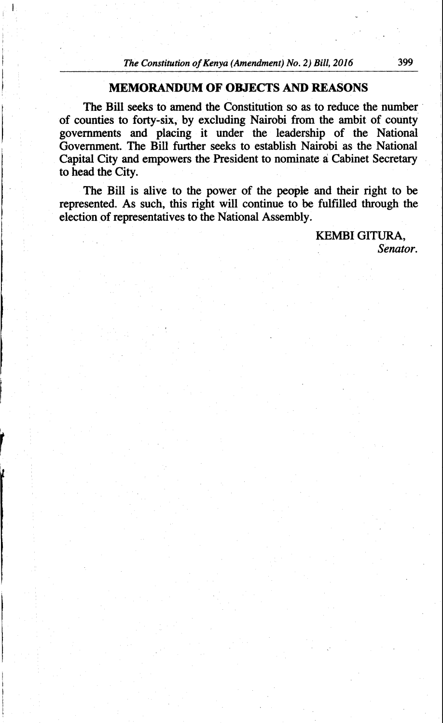## **MEMORANDUM OF ORIECTS AND REASONS**

The Bill seeks to amend the Constitution so as to reduce the number of counties to forty-six, by excluding Nairobi from the ambit of county governments and placing it under the leadership of the National Government. The Bill further seeks to establish Nairobi as the National Capital City and empowers the President to nominate a Cabinet Secretary to head the City.

The Bill is alive to the power of the people and their right to be represented. As such, this right will continue to be fulfilled through the election of representatives to the National Assembly.

> **KEMBI GITURA.** Senator.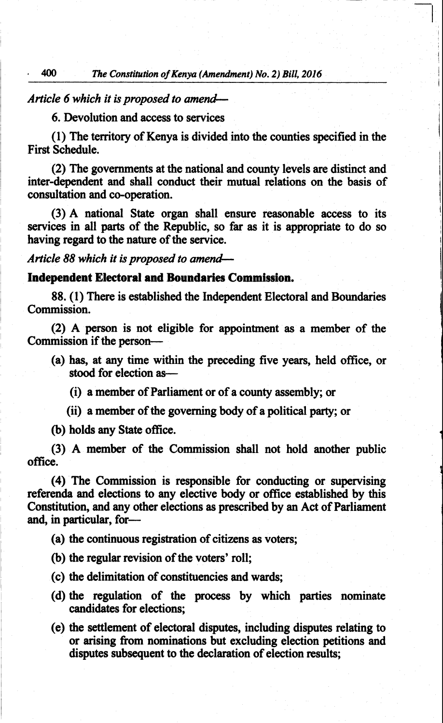Article 6 which it is proposed to amend—

6. Devolution and access to services

 $(1)$  The territory of Kenya is divided into the counties specified in the First Schedule.

I

(2) The governments at the national and county levels are distinct and inter-dependent and shall conduct their mutual relations on the basis of consultation and co-operation.

(3) A national State organ shall ensure reasonable access to its services in all parts of the Republic, so far as it is appropriate to do so having regard to the nature of the service.

Article 88 which it is proposed to amend—

#### Independent Electoral and Boundaries Commission.

88. (1) There is established the Independent Electoral and Boundaries **Commission** 

(2) A person is not eligible for appointment as a member of the Commission if the person-

- (a) has, at any time within the preceding five years, held office, or stood for election as-
	- (i) a member of Parliament or of a county assembly; or
	- (ii) a member of the governing body of a political party; or

(b) holds any State office.

(3) A meurber of the Commission shall not hold another public office.

(4) The Commission is responsible for conducting or supervising referenda and elections to any elective body or office established by this Constitution, and any other elections as prescribed by an Act of Parliament and, in particular, for-

(a) the continuous registration of citizens as voters;

(b) the regular revision of the voters' roll;

- (c) the delimitation of constituencies and wards;
- (d) the regulation of the prooess by which parties nominate candidates for elections:
- (e) the settlcmcot of electoral disputes, including disputes relating to or arising from nominations but excluding election petitions and disputes subsequent to the declaration of election results;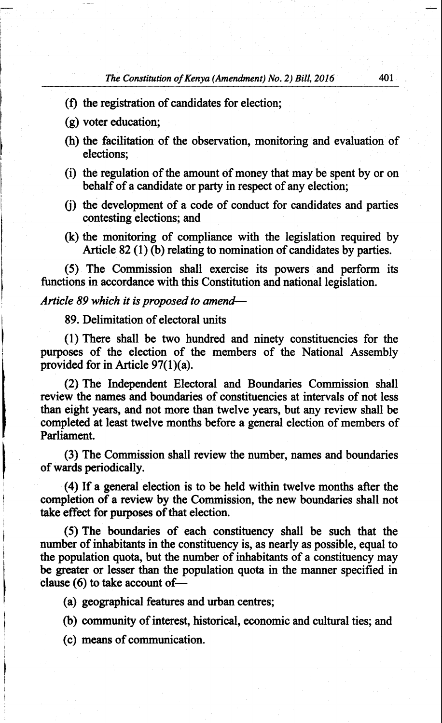- $(f)$  the registration of candidates for election;
- (g) voter education;
- (h) the facilitation of the observation, monitoring and evaluation of elections;
- (i) the regulation of the amount of money that may be spent by or on behalf of a candidate or party in respect of any election;
- 0) the development of a code of conduct for candidates and parties contesting elections; and
- (k) the monitoring of compliance with the legislation required by Article 82 (1) (b) relating to nomination of candidates by parties.

(5) The Commission shall exercise its powers and perfonn its functions in accordance with this Constitution and national legislation.

## Article 89 which it is proposed to amend-

89. Delimitation of electoral units

(1) There shall be two hundred and ninety constituencies for the purposes of the election of the members of the National Assembly provided for in Article  $97(1)(a)$ .

(2) The Independent Electoml and Boundaries Commission shall review the names and boundaries of constituencies at intervals of not less than eight years, and not more than twelve years, but any review shall be completed at least twelve months before a general election of members of Parliament.

(3) The Commission shall review the number, narnes and boundaries of wards periodically.

(4) If a generat election is to be hetd within twelve months after the completion of a review by the Commission, the new boundaries shall not take effect for purposes of that election.

(5) The boundaries of each constituency shall be such that the number of inhabitants in the constituency is, as nearly as possible, equal to the population quota, but the number of inhabitants of a constituency may be greater or lesser than the population quota in the manner specified in clause  $(6)$  to take account of-

(a) geographical features and urban centres;

(b) community of interest, historical, economic and cultural ties; and

(c) means of communication.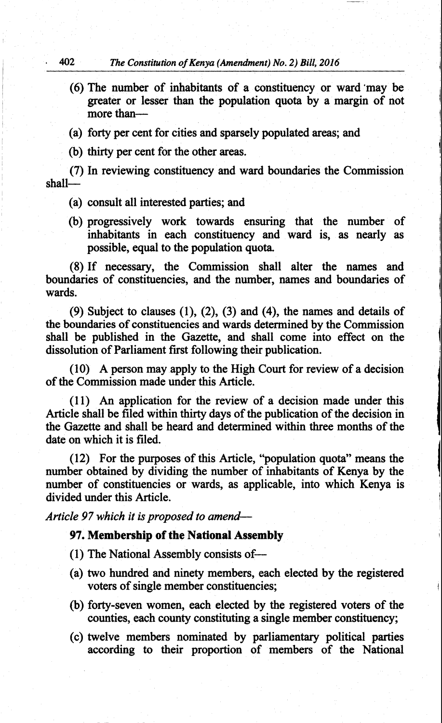(6) The number of inhabitants of a constituency or ward'may be greater or lesser than the population quota by a margin of not more thani

- (a) forty per cent for cities and sparsely populated areas; and
- (b) thirty per cent for the other areas.

402

(7) In reviewing constituency and ward boundaries the Commission shall-

- (a) consult all interested parties; and
- (b) progressively work towards ensuring that the number of intnbitants in each constituency and ward is, as nearly as possible, equal to the population quota.

(8) If necessary, the Commission shall alter the names and boundaries of constituencies, and the nunrber, narnes and boundaries of wards.

(9) Subject to clauses  $(1)$ ,  $(2)$ ,  $(3)$  and  $(4)$ , the names and details of the boundaries of constituencies and wards determined by the Commission shall be published in the Gazette, and shall come into effect on the dissolution of Parliament first following their publication.

(10) A person may apply to the High Court for review of a decision of the Commission made under this Article.

(ll) An application for the review of a decision made under this Article shall be filed within thirty days of the publication of the decision in the Gazette and shall be heard and determined within tbree months of the date on which it is filed.

(12) For the purposes of this Article, "population quota" means the number obtained by dividing the number of inhabitants of Kenya by the number of constituencies or wards, as applieable, into which Kenya is divided under this Article.

Article 97 which it is proposed to amend—

## 97. Membership of the National Assembly

- $(1)$  The National Assembly consists of-
- (a) two hundred and ninety members, each elected by the registered voters of single mernber constituenoies;
- (b) forty-seven women, each elected by the registered voters of the counties, each county constituting a single member constituency;
- (c) twelve members nominated by parliamentary political parties according to their proportion of menrbers of the National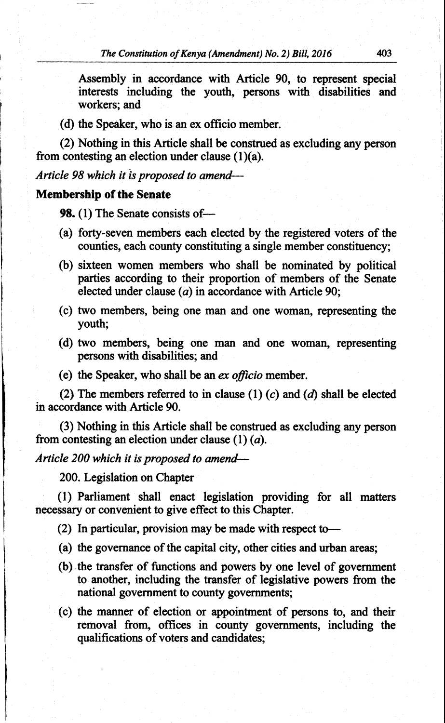Assembly in accordance with Article 90, to represent special interests including the youth, persons with disabilities and workers; and

(d) the Speaker, who is an ex officio member.

 $(2)$  Nothing in this Article shall be construed as excluding any person from contesting an election under clause  $(1)(a)$ .

Article 98 which it is proposed to amend-

#### Membership of the Senate

98. (1) The Senate consists of-

- (a) forty-seven members each elected by the registered voters of the counties, each county constituting a single member constituency;
- (b) sixteen women members who shall be nominated by political parties according to their proportion of members of ihe Senate elected under clause  $(a)$  in accordance with Article 90:
- I (c) two members, being one man and one woman, representing the youth;
- (d) two members, being one man and one woman, representing persons with disabilities; and
- (e) the Speaker, who shall be an  $ex$  officio member.

(2) The members referred to in clause (1)  $(c)$  and  $(d)$  shall be elected in accordance with Article 90.

(3) Nothing in this Article shall be construed as excluding any person from contesting an election under clause  $(1)$   $(a)$ .

Article 200 which it is proposed to amend-

200. Legislation on Chapter

(1) Parliament shall enact legislation providing for all matters necessary or conVenient to give effect to this Chapter.

(2) In particular, provision may be made with respect to-

- , (a) the governance of the capital city, other cities and urban areas;
- (b) the transfer of functions and powers by one level of government to another, including the fransfer of legislative powers from the national government to county governments;
- (c) the manner of election or appoinfinent of persons to, and their removal from, offices in county governments, including the qualifications of voters and candidates;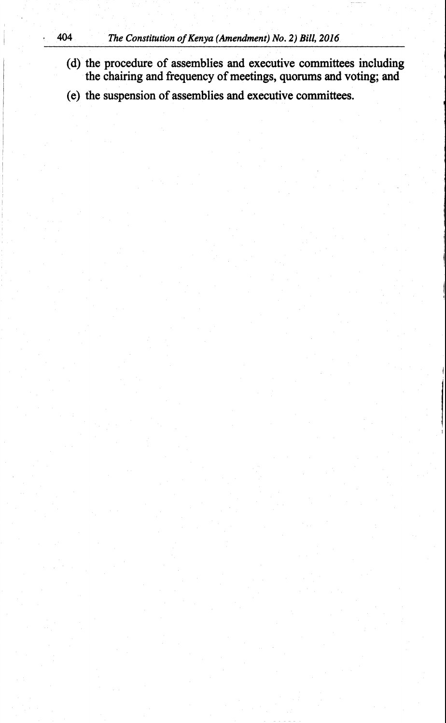- (d) the procedure of assemblies and executive committees including the chairing and frequency of meetings, quorums and voting; and
- (e) the suspension of assemblies and executive committees.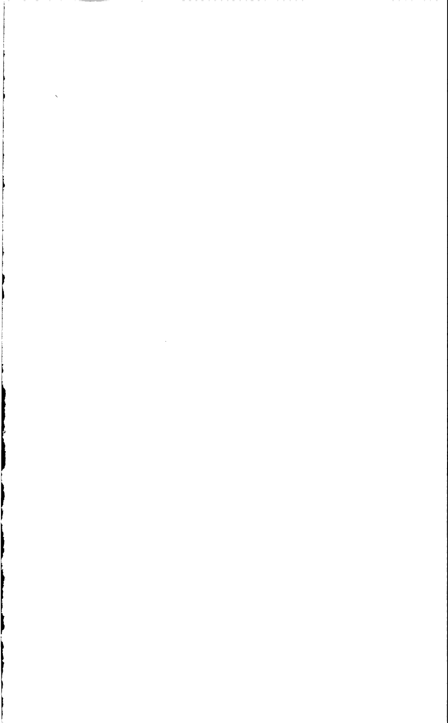